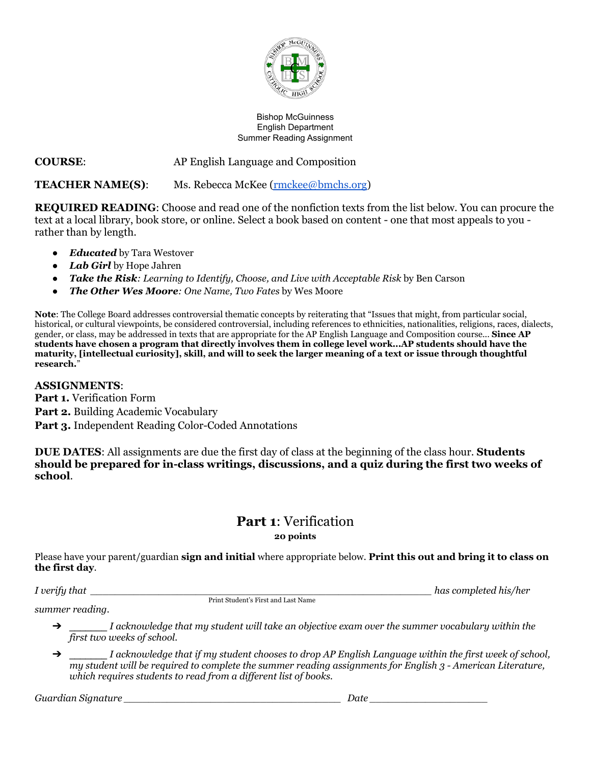

#### Bishop McGuinness English Department Summer Reading Assignment

## **COURSE**: AP English Language and Composition

**TEACHER NAME(S)**: Ms. Rebecca McKee [\(rmckee@bmchs.org](mailto:rmckee@bmchs.org))

**REQUIRED READING**: Choose and read one of the nonfiction texts from the list below. You can procure the text at a local library, book store, or online. Select a book based on content - one that most appeals to you rather than by length.

- *Educated* by Tara Westover
- *● Lab Girl* by Hope Jahren
- *Take the Risk: Learning to Identify, Choose, and Live with Acceptable Risk* by Ben Carson
- *The Other Wes Moore: One Name, Two Fates* by Wes Moore

**Note**: The College Board addresses controversial thematic concepts by reiterating that "Issues that might, from particular social, historical, or cultural viewpoints, be considered controversial, including references to ethnicities, nationalities, religions, races, dialects, gender, or class, may be addressed in texts that are appropriate for the AP English Language and Composition course... **Since AP students have chosen a program that directly involves them in college level work...AP students should have the maturity, [intellectual curiosity], skill, and will to seek the larger meaning of a text or issue through thoughtful research.**"

#### **ASSIGNMENTS**:

**Part 1.** Verification Form

**Part 2.** Building Academic Vocabulary

**Part 3.** Independent Reading Color-Coded Annotations

**DUE DATES**: All assignments are due the first day of class at the beginning of the class hour. **Students should be prepared for in-class writings, discussions, and a quiz during the first two weeks of school**.

# **Part 1**: Verification

**20 points**

Please have your parent/guardian **sign and initial** where appropriate below. **Print this out and bring it to class on the first day**.

Print Student's First and Last Name

*I verify that \_\_\_\_\_\_\_\_\_\_\_\_\_\_\_\_\_\_\_\_\_\_\_\_\_\_\_\_\_\_\_\_\_\_\_\_\_\_\_\_\_\_\_\_\_\_\_\_\_\_\_\_\_\_\_ has completed his/her*

*summer reading.*

- ➔ \_\_\_\_\_\_\_ *I acknowledge that my student will take an objective exam over the summer vocabulary within the first two weeks of school.*
- $\rightarrow$  I acknowledge that if my student chooses to drop AP English Language within the first week of school, my student will be required to complete the summer reading assignments for English 3 - American Literature, *which requires students to read from a dif erent list of books.*

*Guardian Signature \_\_\_\_\_\_\_\_\_\_\_\_\_\_\_\_\_\_\_\_\_\_\_\_\_\_\_\_\_\_\_\_\_\_\_ Date \_\_\_\_\_\_\_\_\_\_\_\_\_\_\_\_\_\_\_*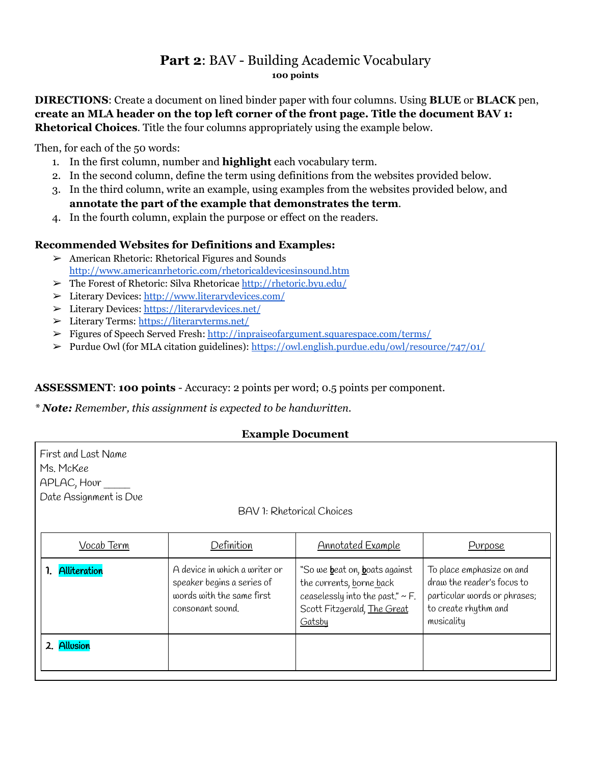# **Part 2**: BAV - Building Academic Vocabulary **100 points**

**DIRECTIONS**: Create a document on lined binder paper with four columns. Using **BLUE** or **BLACK** pen, **create an MLA header on the top left corner of the front page. Title the document BAV 1: Rhetorical Choices**. Title the four columns appropriately using the example below.

Then, for each of the 50 words:

2. Allusion

- 1. In the first column, number and **highlight** each vocabulary term.
- 2. In the second column, define the term using definitions from the websites provided below.
- 3. In the third column, write an example, using examples from the websites provided below, and **annotate the part of the example that demonstrates the term**.
- 4. In the fourth column, explain the purpose or effect on the readers.

## **Recommended Websites for Definitions and Examples:**

- ➢ American Rhetoric: Rhetorical Figures and Sounds <http://www.americanrhetoric.com/rhetoricaldevicesinsound.htm>
- ➢ The Forest of Rhetoric: Silva Rhetoricae <http://rhetoric.byu.edu/>
- ➢ Literary Devices: <http://www.literarydevices.com/>
- ➢ Literary Devices: <https://literarydevices.net/>
- ➢ Literary Terms: <https://literaryterms.net/>
- ➢ Figures of Speech Served Fresh: <http://inpraiseofargument.squarespace.com/terms/>
- ➢ Purdue Owl (for MLA citation guidelines): <https://owl.english.purdue.edu/owl/resource/747/01/>

#### **ASSESSMENT**: **100 points** - Accuracy: 2 points per word; 0.5 points per component.

#### *\* Note: Remember, this assignment is expected to be handwritten.*

consonant sound.

#### **Example Document**

| First and Last Name<br>Ms. McKee<br>APLAC, Hour<br>Date Assignment is Due |                                                                                          |                                                                                                                    |                                                                                         |  |  |  |
|---------------------------------------------------------------------------|------------------------------------------------------------------------------------------|--------------------------------------------------------------------------------------------------------------------|-----------------------------------------------------------------------------------------|--|--|--|
| <b>BAV 1: Rhetorical Choices</b>                                          |                                                                                          |                                                                                                                    |                                                                                         |  |  |  |
| Vocab Term                                                                | Definition                                                                               | Annotated Example                                                                                                  | Purpose                                                                                 |  |  |  |
| <b>Alliteration</b>                                                       | A device in which a writer or<br>speaker begins a series of<br>words with the same first | "So we <b>b</b> eat on, <b>b</b> oats against<br>the corrents, borne back<br>ceaselessly into the past." $\sim$ F. | To place emphasize on and<br>draw the reader's focus to<br>particular words or phrases; |  |  |  |

**Gatsby** 

Scott Fitzgerald, The Great

to create rhythm and

musicality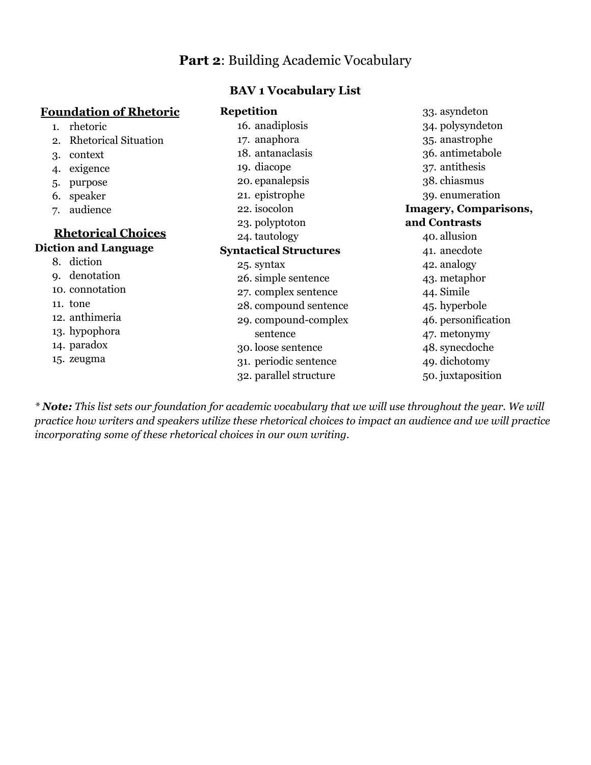# **Part 2**: Building Academic Vocabulary

#### **BAV 1 Vocabulary List**

#### **Foundation of Rhetoric**

- 1. rhetoric
- 2. Rhetorical Situation
- 3. context
- 4. exigence
- 5. purpose
- 6. speaker
- 7. audience

# **Rhetorical Choices Diction and Language**

- 8. diction
- 9. denotation
- 10. connotation
- 11. tone
- 12. anthimeria
- 13. hypophora
- 14. paradox
- 15. zeugma

#### **Repetition** -<br>16. anadiplosis

| 16. anadiplosis               | 34. polysyndeton      |  |
|-------------------------------|-----------------------|--|
| 17. anaphora                  | 35. anastrophe        |  |
| 18. antanaclasis              | 36. antimetabole      |  |
| 19. diacope                   | 37. antithesis        |  |
| 20. epanalepsis               | 38. chiasmus          |  |
| 21. epistrophe                | 39. enumeration       |  |
| 22. isocolon                  | Imagery, Comparisons, |  |
| 23. polyptoton                | and Contrasts         |  |
| 24. tautology                 | 40. allusion          |  |
| <b>Syntactical Structures</b> | 41. anecdote          |  |
| 25. syntax                    | 42. analogy           |  |
| 26. simple sentence           | 43. metaphor          |  |
| 27. complex sentence          | 44. Simile            |  |
| 28. compound sentence         | 45. hyperbole         |  |
| 29. compound-complex          | 46. personification   |  |
| sentence                      | 47. metonymy          |  |
| 30. loose sentence            | 48. synecdoche        |  |
| 31. periodic sentence         | 49. dichotomy         |  |
| 32. parallel structure        | 50. juxtaposition     |  |
|                               |                       |  |

33. asyndeton

\* Note: This list sets our foundation for academic vocabulary that we will use throughout the year. We will practice how writers and speakers utilize these rhetorical choices to impact an audience and we will practice *incorporating some of these rhetorical choices in our own writing.*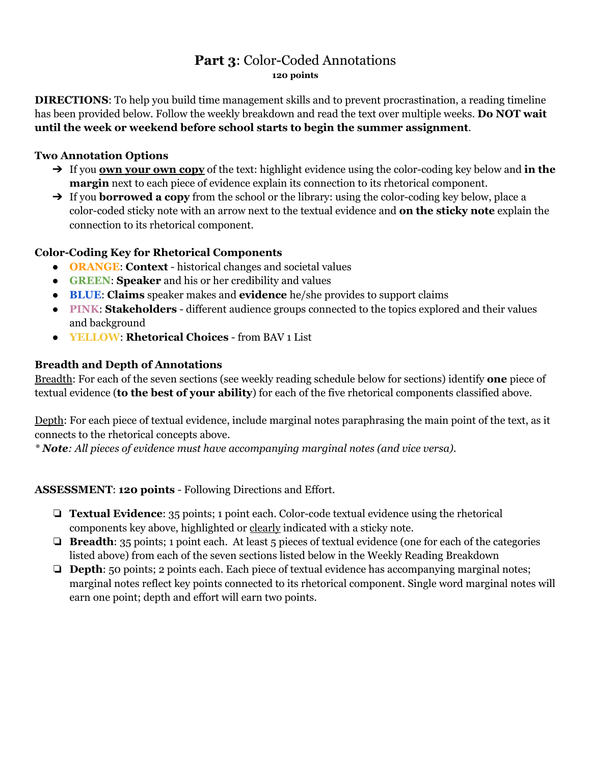# **Part 3**: Color-Coded Annotations **120 points**

**DIRECTIONS**: To help you build time management skills and to prevent procrastination, a reading timeline has been provided below. Follow the weekly breakdown and read the text over multiple weeks. **Do NOT wait until the week or weekend before school starts to begin the summer assignment**.

## **Two Annotation Options**

- ➔ If you **own your own copy** of the text: highlight evidence using the color-coding key below and **in the margin** next to each piece of evidence explain its connection to its rhetorical component.
- ➔ If you **borrowed a copy** from the school or the library: using the color-coding key below, place a color-coded sticky note with an arrow next to the textual evidence and **on the sticky note** explain the connection to its rhetorical component.

## **Color-Coding Key for Rhetorical Components**

- **ORANGE**: **Context** historical changes and societal values
- **GREEN**: **Speaker** and his or her credibility and values
- **BLUE**: **Claims** speaker makes and **evidence** he/she provides to support claims
- **PINK**: **Stakeholders** different audience groups connected to the topics explored and their values and background
- **YELLOW**: **Rhetorical Choices** from BAV 1 List

## **Breadth and Depth of Annotations**

Breadth: For each of the seven sections (see weekly reading schedule below for sections) identify **one** piece of textual evidence (**to the best of your ability**) for each of the five rhetorical components classified above.

Depth: For each piece of textual evidence, include marginal notes paraphrasing the main point of the text, as it connects to the rhetorical concepts above.

*\* Note: All pieces of evidence must have accompanying marginal notes (and vice versa).*

## **ASSESSMENT**: **120 points** - Following Directions and Effort.

- ❏ **Textual Evidence**: 35 points; 1 point each. Color-code textual evidence using the rhetorical components key above, highlighted or clearly indicated with a sticky note.
- ❏ **Breadth**: 35 points; 1 point each. At least 5 pieces of textual evidence (one for each of the categories listed above) from each of the seven sections listed below in the Weekly Reading Breakdown
- ❏ **Depth**: 50 points; 2 points each. Each piece of textual evidence has accompanying marginal notes; marginal notes reflect key points connected to its rhetorical component. Single word marginal notes will earn one point; depth and effort will earn two points.